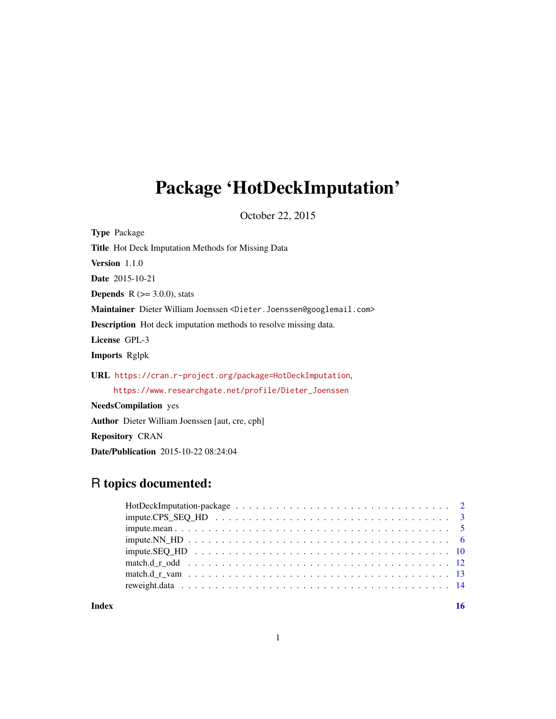# Package 'HotDeckImputation'

October 22, 2015

Type Package Title Hot Deck Imputation Methods for Missing Data Version 1.1.0 Date 2015-10-21 **Depends** R  $(>= 3.0.0)$ , stats Maintainer Dieter William Joenssen <Dieter.Joenssen@googlemail.com> Description Hot deck imputation methods to resolve missing data. License GPL-3 Imports Rglpk URL <https://cran.r-project.org/package=HotDeckImputation>, [https://www.researchgate.net/profile/Dieter\\_Joenssen](https://www.researchgate.net/profile/Dieter_Joenssen) NeedsCompilation yes Author Dieter William Joenssen [aut, cre, cph]

# Repository CRAN

Date/Publication 2015-10-22 08:24:04

# R topics documented:

| $\text{impute}.\text{SEQ}\_\text{HD}\_\dots\_\dots\_\dots\_\dots\_\dots\_\dots\_\dots\_\dots\_\dots\_\dots\_\dots\_\dots\_\_1$ |  |
|--------------------------------------------------------------------------------------------------------------------------------|--|
|                                                                                                                                |  |
|                                                                                                                                |  |
|                                                                                                                                |  |
|                                                                                                                                |  |

**Index** the contract of the contract of the contract of the contract of the contract of the contract of the contract of the contract of the contract of the contract of the contract of the contract of the contract of the co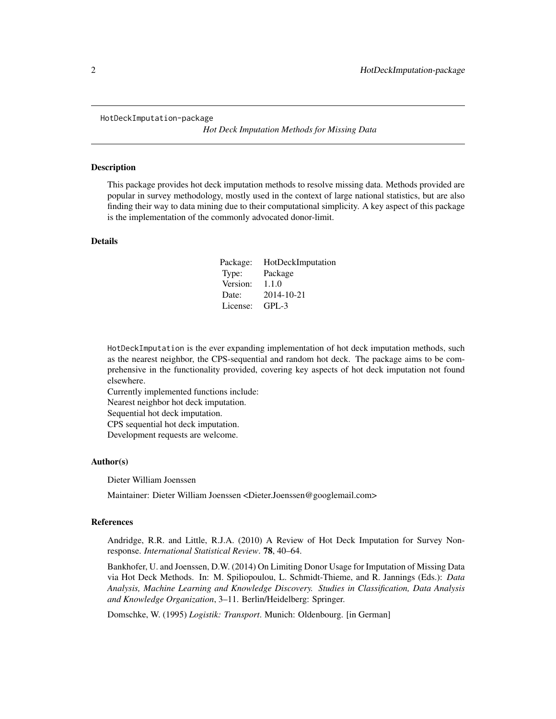<span id="page-1-0"></span>HotDeckImputation-package

*Hot Deck Imputation Methods for Missing Data*

#### Description

This package provides hot deck imputation methods to resolve missing data. Methods provided are popular in survey methodology, mostly used in the context of large national statistics, but are also finding their way to data mining due to their computational simplicity. A key aspect of this package is the implementation of the commonly advocated donor-limit.

#### Details

| Package: | HotDeckImputation |
|----------|-------------------|
| Type:    | Package           |
| Version: | 1.1.0             |
| Date:    | 2014-10-21        |
| License: | GPL-3             |

HotDeckImputation is the ever expanding implementation of hot deck imputation methods, such as the nearest neighbor, the CPS-sequential and random hot deck. The package aims to be comprehensive in the functionality provided, covering key aspects of hot deck imputation not found elsewhere.

Currently implemented functions include:

Nearest neighbor hot deck imputation.

Sequential hot deck imputation.

CPS sequential hot deck imputation.

Development requests are welcome.

#### Author(s)

Dieter William Joenssen

Maintainer: Dieter William Joenssen <Dieter.Joenssen@googlemail.com>

#### **References**

Andridge, R.R. and Little, R.J.A. (2010) A Review of Hot Deck Imputation for Survey Nonresponse. *International Statistical Review*. 78, 40–64.

Bankhofer, U. and Joenssen, D.W. (2014) On Limiting Donor Usage for Imputation of Missing Data via Hot Deck Methods. In: M. Spiliopoulou, L. Schmidt-Thieme, and R. Jannings (Eds.): *Data Analysis, Machine Learning and Knowledge Discovery. Studies in Classification, Data Analysis and Knowledge Organization*, 3–11. Berlin/Heidelberg: Springer.

Domschke, W. (1995) *Logistik: Transport*. Munich: Oldenbourg. [in German]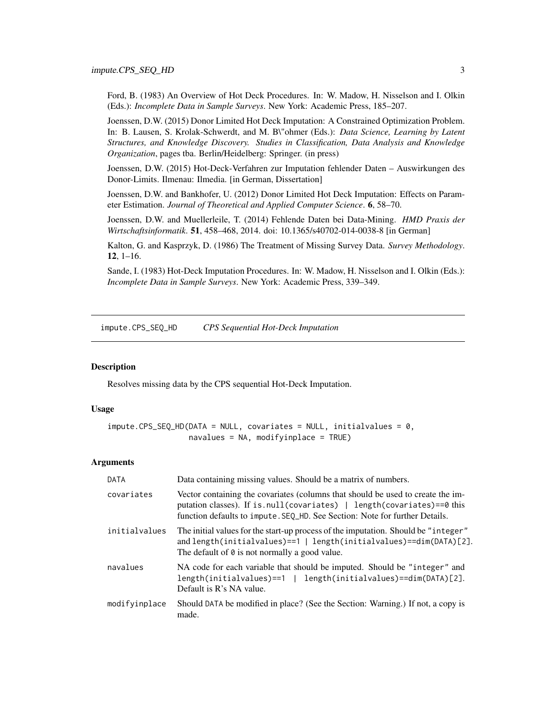<span id="page-2-0"></span>Ford, B. (1983) An Overview of Hot Deck Procedures. In: W. Madow, H. Nisselson and I. Olkin (Eds.): *Incomplete Data in Sample Surveys*. New York: Academic Press, 185–207.

Joenssen, D.W. (2015) Donor Limited Hot Deck Imputation: A Constrained Optimization Problem. In: B. Lausen, S. Krolak-Schwerdt, and M. B\"ohmer (Eds.): *Data Science, Learning by Latent Structures, and Knowledge Discovery. Studies in Classification, Data Analysis and Knowledge Organization*, pages tba. Berlin/Heidelberg: Springer. (in press)

Joenssen, D.W. (2015) Hot-Deck-Verfahren zur Imputation fehlender Daten – Auswirkungen des Donor-Limits. Ilmenau: Ilmedia. [in German, Dissertation]

Joenssen, D.W. and Bankhofer, U. (2012) Donor Limited Hot Deck Imputation: Effects on Parameter Estimation. *Journal of Theoretical and Applied Computer Science*. 6, 58–70.

Joenssen, D.W. and Muellerleile, T. (2014) Fehlende Daten bei Data-Mining. *HMD Praxis der Wirtschaftsinformatik*. 51, 458–468, 2014. doi: 10.1365/s40702-014-0038-8 [in German]

Kalton, G. and Kasprzyk, D. (1986) The Treatment of Missing Survey Data. *Survey Methodology*. 12, 1–16.

Sande, I. (1983) Hot-Deck Imputation Procedures. In: W. Madow, H. Nisselson and I. Olkin (Eds.): *Incomplete Data in Sample Surveys*. New York: Academic Press, 339–349.

<span id="page-2-1"></span>impute.CPS\_SEQ\_HD *CPS Sequential Hot-Deck Imputation*

#### **Description**

Resolves missing data by the CPS sequential Hot-Deck Imputation.

# Usage

```
impute.CPS_SEO_HD(DATA = NULL, covariates = NULL, initialvalues = <math>0</math>,navalues = NA, modifyinplace = TRUE)
```
#### Arguments

| DATA          | Data containing missing values. Should be a matrix of numbers.                                                                                                                                                                           |
|---------------|------------------------------------------------------------------------------------------------------------------------------------------------------------------------------------------------------------------------------------------|
| covariates    | Vector containing the covariates (columns that should be used to create the im-<br>putation classes). If is.null(covariates)   length(covariates)==0 this<br>function defaults to impute. SEQ_HD. See Section: Note for further Details. |
| initialvalues | The initial values for the start-up process of the imputation. Should be "integer"<br>and length(initialvalues)==1   length(initialvalues)==dim(DATA)[2].<br>The default of $\theta$ is not normally a good value.                       |
| navalues      | NA code for each variable that should be imputed. Should be "integer" and<br>length(initialvalues)==dim(DATA)[2].<br>length(initialvalues)==1  <br>Default is R's NA value.                                                              |
| modifyinplace | Should DATA be modified in place? (See the Section: Warning.) If not, a copy is<br>made.                                                                                                                                                 |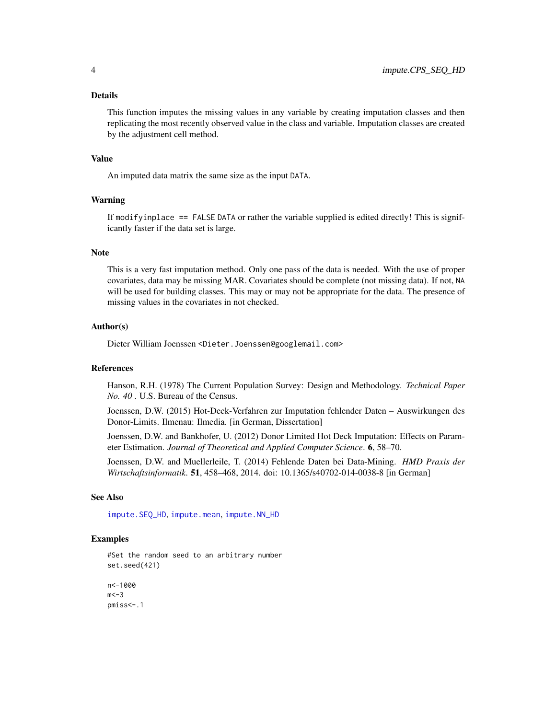#### <span id="page-3-0"></span>Details

This function imputes the missing values in any variable by creating imputation classes and then replicating the most recently observed value in the class and variable. Imputation classes are created by the adjustment cell method.

#### Value

An imputed data matrix the same size as the input DATA.

# Warning

If modifyinplace == FALSE DATA or rather the variable supplied is edited directly! This is significantly faster if the data set is large.

#### **Note**

This is a very fast imputation method. Only one pass of the data is needed. With the use of proper covariates, data may be missing MAR. Covariates should be complete (not missing data). If not, NA will be used for building classes. This may or may not be appropriate for the data. The presence of missing values in the covariates in not checked.

#### Author(s)

Dieter William Joenssen <Dieter.Joenssen@googlemail.com>

#### References

Hanson, R.H. (1978) The Current Population Survey: Design and Methodology. *Technical Paper No. 40* . U.S. Bureau of the Census.

Joenssen, D.W. (2015) Hot-Deck-Verfahren zur Imputation fehlender Daten – Auswirkungen des Donor-Limits. Ilmenau: Ilmedia. [in German, Dissertation]

Joenssen, D.W. and Bankhofer, U. (2012) Donor Limited Hot Deck Imputation: Effects on Parameter Estimation. *Journal of Theoretical and Applied Computer Science*. 6, 58–70.

Joenssen, D.W. and Muellerleile, T. (2014) Fehlende Daten bei Data-Mining. *HMD Praxis der Wirtschaftsinformatik*. 51, 458–468, 2014. doi: 10.1365/s40702-014-0038-8 [in German]

#### See Also

[impute.SEQ\\_HD](#page-9-1), [impute.mean](#page-4-1), [impute.NN\\_HD](#page-5-1)

#### Examples

#Set the random seed to an arbitrary number set.seed(421)

n<-1000  $m < -3$ pmiss<-.1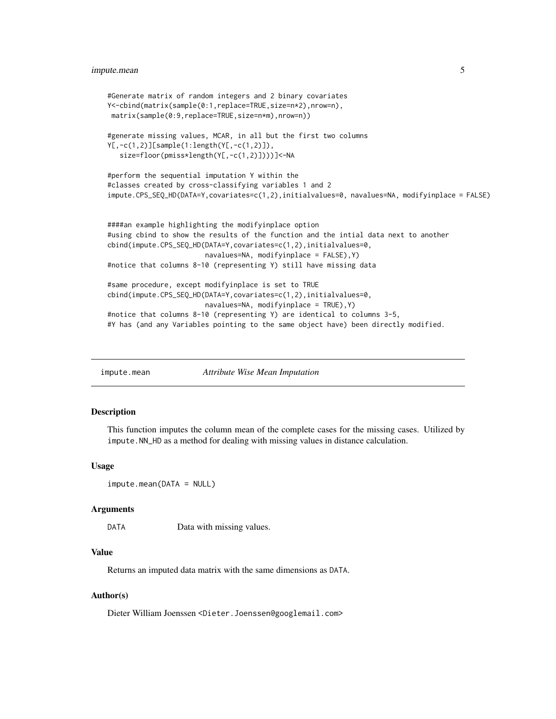```
#Generate matrix of random integers and 2 binary covariates
Y<-cbind(matrix(sample(0:1,replace=TRUE,size=n*2),nrow=n),
matrix(sample(0:9,replace=TRUE,size=n*m),nrow=n))
#generate missing values, MCAR, in all but the first two columns
Y[,-c(1,2)][sample(1:length(Y[,-c(1,2)]),
  size=floor(pmiss*length(Y[,-c(1,2)])))]<-NA
#perform the sequential imputation Y within the
#classes created by cross-classifying variables 1 and 2
impute.CPS_SEQ_HD(DATA=Y,covariates=c(1,2),initialvalues=0, navalues=NA, modifyinplace = FALSE)
####an example highlighting the modifyinplace option
#using cbind to show the results of the function and the intial data next to another
cbind(impute.CPS_SEQ_HD(DATA=Y,covariates=c(1,2),initialvalues=0,
                       navalues=NA, modifyinplace = FALSE),Y)
#notice that columns 8-10 (representing Y) still have missing data
#same procedure, except modifyinplace is set to TRUE
cbind(impute.CPS_SEQ_HD(DATA=Y,covariates=c(1,2),initialvalues=0,
                       navalues=NA, modifyinplace = TRUE),Y)
#notice that columns 8-10 (representing Y) are identical to columns 3-5,
#Y has (and any Variables pointing to the same object have) been directly modified.
```
<span id="page-4-1"></span>impute.mean *Attribute Wise Mean Imputation*

#### Description

This function imputes the column mean of the complete cases for the missing cases. Utilized by impute.NN\_HD as a method for dealing with missing values in distance calculation.

#### Usage

```
impute.mean(DATA = NULL)
```
#### Arguments

DATA Data with missing values.

#### Value

Returns an imputed data matrix with the same dimensions as DATA.

#### Author(s)

Dieter William Joenssen <Dieter.Joenssen@googlemail.com>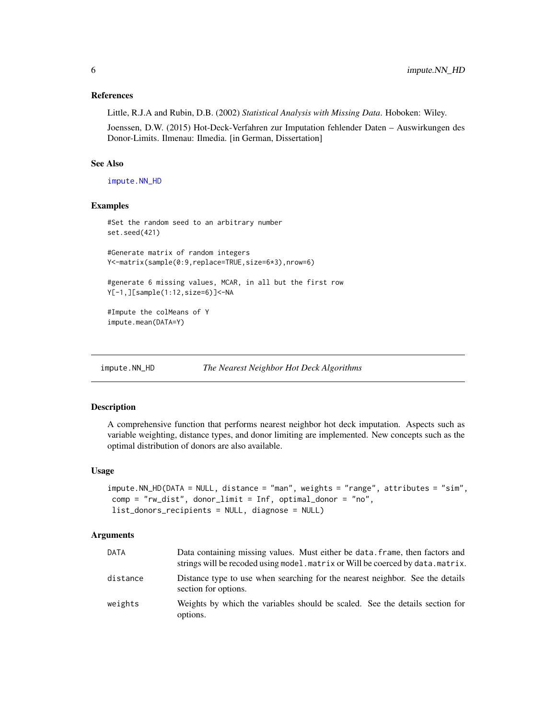#### <span id="page-5-0"></span>References

Little, R.J.A and Rubin, D.B. (2002) *Statistical Analysis with Missing Data*. Hoboken: Wiley.

Joenssen, D.W. (2015) Hot-Deck-Verfahren zur Imputation fehlender Daten – Auswirkungen des Donor-Limits. Ilmenau: Ilmedia. [in German, Dissertation]

#### See Also

[impute.NN\\_HD](#page-5-1)

#### Examples

```
#Set the random seed to an arbitrary number
set.seed(421)
#Generate matrix of random integers
Y<-matrix(sample(0:9,replace=TRUE,size=6*3),nrow=6)
#generate 6 missing values, MCAR, in all but the first row
Y[-1,][sample(1:12,size=6)]<-NA
#Impute the colMeans of Y
impute.mean(DATA=Y)
```
<span id="page-5-1"></span>impute.NN\_HD *The Nearest Neighbor Hot Deck Algorithms*

#### Description

A comprehensive function that performs nearest neighbor hot deck imputation. Aspects such as variable weighting, distance types, and donor limiting are implemented. New concepts such as the optimal distribution of donors are also available.

#### Usage

```
impute.NN_HD(DATA = NULL, distance = "man", weights = "range", attributes = "sim",
comp = "rw_dist", donor_limit = Inf, optimal_donor = "no",
list_donors_recipients = NULL, diagnose = NULL)
```
## Arguments

| DATA     | Data containing missing values. Must either be data, frame, then factors and<br>strings will be recoded using model. matrix or Will be coerced by data. matrix. |
|----------|-----------------------------------------------------------------------------------------------------------------------------------------------------------------|
| distance | Distance type to use when searching for the nearest neighbor. See the details<br>section for options.                                                           |
| weights  | Weights by which the variables should be scaled. See the details section for<br>options.                                                                        |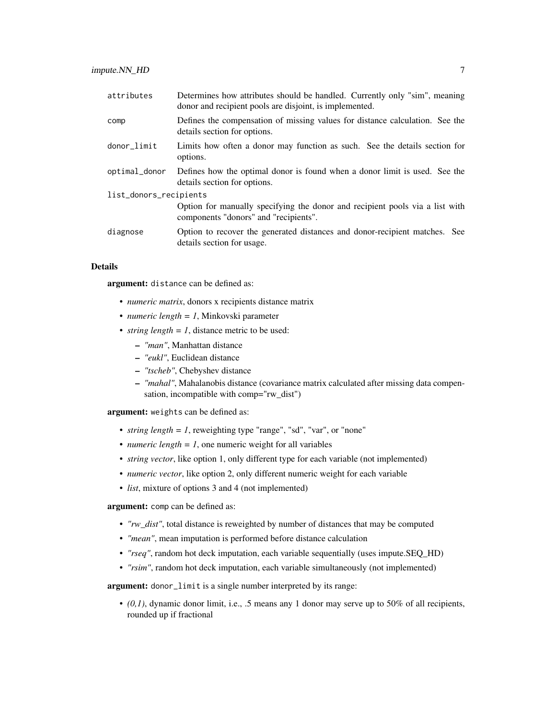| attributes             | Determines how attributes should be handled. Currently only "sim", meaning<br>donor and recipient pools are disjoint, is implemented. |
|------------------------|---------------------------------------------------------------------------------------------------------------------------------------|
| comp                   | Defines the compensation of missing values for distance calculation. See the<br>details section for options.                          |
| donor_limit            | Limits how often a donor may function as such. See the details section for<br>options.                                                |
| optimal_donor          | Defines how the optimal donor is found when a donor limit is used. See the<br>details section for options.                            |
| list_donors_recipients |                                                                                                                                       |
|                        | Option for manually specifying the donor and recipient pools via a list with<br>components "donors" and "recipients".                 |
| diagnose               | Option to recover the generated distances and donor-recipient matches. See<br>details section for usage.                              |

#### Details

argument: distance can be defined as:

- *numeric matrix*, donors x recipients distance matrix
- *numeric length = 1*, Minkovski parameter
- *string length* =  $l$ , distance metric to be used:
	- *"man"*, Manhattan distance
	- *"eukl"*, Euclidean distance
	- *"tscheb"*, Chebyshev distance
	- *"mahal"*, Mahalanobis distance (covariance matrix calculated after missing data compensation, incompatible with comp="rw\_dist")

argument: weights can be defined as:

- *string length = 1*, reweighting type "range", "sd", "var", or "none"
- *numeric length* =  $1$ , one numeric weight for all variables
- *string vector*, like option 1, only different type for each variable (not implemented)
- *numeric vector*, like option 2, only different numeric weight for each variable
- *list*, mixture of options 3 and 4 (not implemented)

argument: comp can be defined as:

- *"rw\_dist"*, total distance is reweighted by number of distances that may be computed
- *"mean"*, mean imputation is performed before distance calculation
- *"rseq"*, random hot deck imputation, each variable sequentially (uses impute.SEQ\_HD)
- *"rsim"*, random hot deck imputation, each variable simultaneously (not implemented)

argument: donor\_limit is a single number interpreted by its range:

 $\bullet$  (0,1), dynamic donor limit, i.e., .5 means any 1 donor may serve up to 50% of all recipients, rounded up if fractional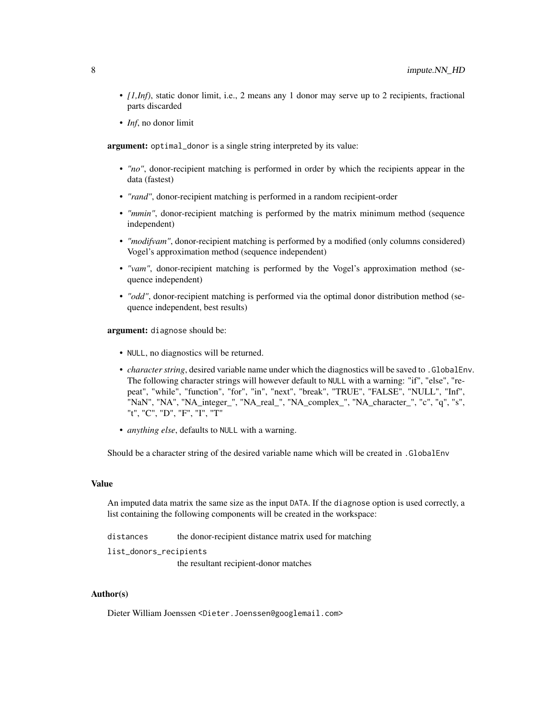- *[1,Inf)*, static donor limit, i.e., 2 means any 1 donor may serve up to 2 recipients, fractional parts discarded
- *Inf*, no donor limit

argument: optimal\_donor is a single string interpreted by its value:

- *"no"*, donor-recipient matching is performed in order by which the recipients appear in the data (fastest)
- *"rand"*, donor-recipient matching is performed in a random recipient-order
- *"mmin"*, donor-recipient matching is performed by the matrix minimum method (sequence independent)
- *"modifyam"*, donor-recipient matching is performed by a modified (only columns considered) Vogel's approximation method (sequence independent)
- *"vam"*, donor-recipient matching is performed by the Vogel's approximation method (sequence independent)
- *"odd"*, donor-recipient matching is performed via the optimal donor distribution method (sequence independent, best results)

argument: diagnose should be:

- NULL, no diagnostics will be returned.
- *character string*, desired variable name under which the diagnostics will be saved to .GlobalEnv. The following character strings will however default to NULL with a warning: "if", "else", "repeat", "while", "function", "for", "in", "next", "break", "TRUE", "FALSE", "NULL", "Inf", "NaN", "NA", "NA\_integer\_", "NA\_real\_", "NA\_complex\_", "NA\_character\_", "c", "q", "s", "t", "C", "D", "F", "I", "T"
- *anything else*, defaults to NULL with a warning.

Should be a character string of the desired variable name which will be created in .GlobalEnv

# Value

An imputed data matrix the same size as the input DATA. If the diagnose option is used correctly, a list containing the following components will be created in the workspace:

distances the donor-recipient distance matrix used for matching

list\_donors\_recipients

the resultant recipient-donor matches

#### Author(s)

Dieter William Joenssen <Dieter.Joenssen@googlemail.com>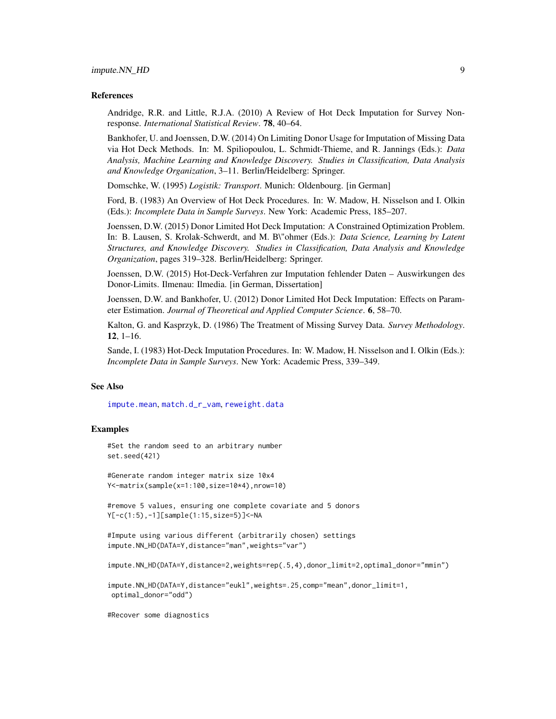#### <span id="page-8-0"></span>References

Andridge, R.R. and Little, R.J.A. (2010) A Review of Hot Deck Imputation for Survey Nonresponse. *International Statistical Review*. 78, 40–64.

Bankhofer, U. and Joenssen, D.W. (2014) On Limiting Donor Usage for Imputation of Missing Data via Hot Deck Methods. In: M. Spiliopoulou, L. Schmidt-Thieme, and R. Jannings (Eds.): *Data Analysis, Machine Learning and Knowledge Discovery. Studies in Classification, Data Analysis and Knowledge Organization*, 3–11. Berlin/Heidelberg: Springer.

Domschke, W. (1995) *Logistik: Transport*. Munich: Oldenbourg. [in German]

Ford, B. (1983) An Overview of Hot Deck Procedures. In: W. Madow, H. Nisselson and I. Olkin (Eds.): *Incomplete Data in Sample Surveys*. New York: Academic Press, 185–207.

Joenssen, D.W. (2015) Donor Limited Hot Deck Imputation: A Constrained Optimization Problem. In: B. Lausen, S. Krolak-Schwerdt, and M. B\"ohmer (Eds.): *Data Science, Learning by Latent Structures, and Knowledge Discovery. Studies in Classification, Data Analysis and Knowledge Organization*, pages 319–328. Berlin/Heidelberg: Springer.

Joenssen, D.W. (2015) Hot-Deck-Verfahren zur Imputation fehlender Daten – Auswirkungen des Donor-Limits. Ilmenau: Ilmedia. [in German, Dissertation]

Joenssen, D.W. and Bankhofer, U. (2012) Donor Limited Hot Deck Imputation: Effects on Parameter Estimation. *Journal of Theoretical and Applied Computer Science*. 6, 58–70.

Kalton, G. and Kasprzyk, D. (1986) The Treatment of Missing Survey Data. *Survey Methodology*. 12, 1–16.

Sande, I. (1983) Hot-Deck Imputation Procedures. In: W. Madow, H. Nisselson and I. Olkin (Eds.): *Incomplete Data in Sample Surveys*. New York: Academic Press, 339–349.

#### See Also

[impute.mean](#page-4-1), [match.d\\_r\\_vam](#page-12-1), [reweight.data](#page-13-1)

#### Examples

#Set the random seed to an arbitrary number set.seed(421)

#Generate random integer matrix size 10x4 Y<-matrix(sample(x=1:100,size=10\*4),nrow=10)

#remove 5 values, ensuring one complete covariate and 5 donors Y[-c(1:5),-1][sample(1:15,size=5)]<-NA

```
#Impute using various different (arbitrarily chosen) settings
impute.NN_HD(DATA=Y,distance="man",weights="var")
```
impute.NN\_HD(DATA=Y,distance=2,weights=rep(.5,4),donor\_limit=2,optimal\_donor="mmin")

```
impute.NN_HD(DATA=Y,distance="eukl",weights=.25,comp="mean",donor_limit=1,
optimal_donor="odd")
```
#Recover some diagnostics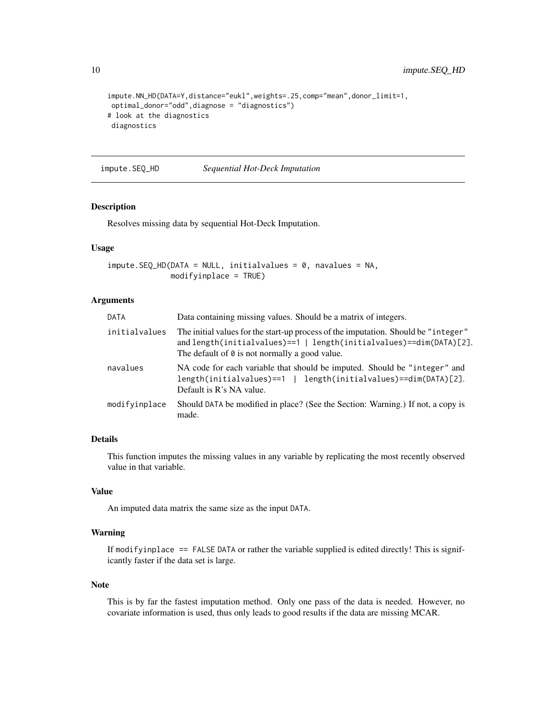```
impute.NN_HD(DATA=Y,distance="eukl",weights=.25,comp="mean",donor_limit=1,
optimal_donor="odd",diagnose = "diagnostics")
# look at the diagnostics
diagnostics
```
<span id="page-9-1"></span>impute.SEQ\_HD *Sequential Hot-Deck Imputation*

#### Description

Resolves missing data by sequential Hot-Deck Imputation.

#### Usage

```
impute.SEQ_HD(DATA = NULL, initialvalues = 0, navalues = NA,
              modifyinplace = TRUE)
```
# Arguments

| <b>DATA</b>   | Data containing missing values. Should be a matrix of integers.                                                                                                                                                    |
|---------------|--------------------------------------------------------------------------------------------------------------------------------------------------------------------------------------------------------------------|
| initialvalues | The initial values for the start-up process of the imputation. Should be "integer"<br>and length(initialvalues)==1   length(initialvalues)==dim(DATA)[2].<br>The default of $\theta$ is not normally a good value. |
| navalues      | NA code for each variable that should be imputed. Should be "integer" and<br>$length(intialvalues) == 1 \mid length(intialvalues) == dim(DATA)[2].$<br>Default is R's NA value.                                    |
| modifyinplace | Should DATA be modified in place? (See the Section: Warning.) If not, a copy is<br>made.                                                                                                                           |

# Details

This function imputes the missing values in any variable by replicating the most recently observed value in that variable.

#### Value

An imputed data matrix the same size as the input DATA.

#### Warning

If modifyinplace == FALSE DATA or rather the variable supplied is edited directly! This is significantly faster if the data set is large.

#### Note

This is by far the fastest imputation method. Only one pass of the data is needed. However, no covariate information is used, thus only leads to good results if the data are missing MCAR.

<span id="page-9-0"></span>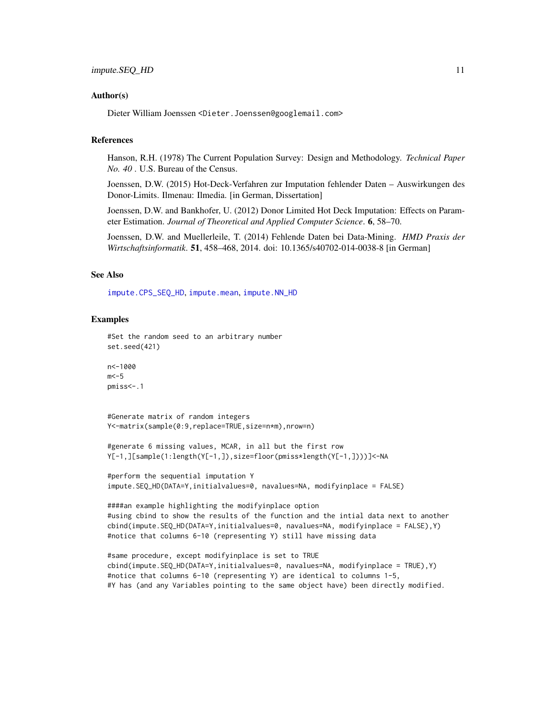#### <span id="page-10-0"></span>Author(s)

Dieter William Joenssen <Dieter.Joenssen@googlemail.com>

# References

Hanson, R.H. (1978) The Current Population Survey: Design and Methodology. *Technical Paper No. 40* . U.S. Bureau of the Census.

Joenssen, D.W. (2015) Hot-Deck-Verfahren zur Imputation fehlender Daten – Auswirkungen des Donor-Limits. Ilmenau: Ilmedia. [in German, Dissertation]

Joenssen, D.W. and Bankhofer, U. (2012) Donor Limited Hot Deck Imputation: Effects on Parameter Estimation. *Journal of Theoretical and Applied Computer Science*. 6, 58–70.

Joenssen, D.W. and Muellerleile, T. (2014) Fehlende Daten bei Data-Mining. *HMD Praxis der Wirtschaftsinformatik*. 51, 458–468, 2014. doi: 10.1365/s40702-014-0038-8 [in German]

# See Also

[impute.CPS\\_SEQ\\_HD](#page-2-1), [impute.mean](#page-4-1), [impute.NN\\_HD](#page-5-1)

#### Examples

```
#Set the random seed to an arbitrary number
set.seed(421)
```

```
n<-1000
m < -5pmiss<-.1
```
#Generate matrix of random integers Y<-matrix(sample(0:9,replace=TRUE,size=n\*m),nrow=n)

```
#generate 6 missing values, MCAR, in all but the first row
Y[-1,][sample(1:length(Y[-1,]),size=floor(pmiss*length(Y[-1,])))]<-NA
```

```
#perform the sequential imputation Y
impute.SEQ_HD(DATA=Y,initialvalues=0, navalues=NA, modifyinplace = FALSE)
```

```
####an example highlighting the modifyinplace option
#using cbind to show the results of the function and the intial data next to another
cbind(impute.SEQ_HD(DATA=Y,initialvalues=0, navalues=NA, modifyinplace = FALSE),Y)
#notice that columns 6-10 (representing Y) still have missing data
```

```
#same procedure, except modifyinplace is set to TRUE
cbind(impute.SEQ_HD(DATA=Y,initialvalues=0, navalues=NA, modifyinplace = TRUE),Y)
#notice that columns 6-10 (representing Y) are identical to columns 1-5,
#Y has (and any Variables pointing to the same object have) been directly modified.
```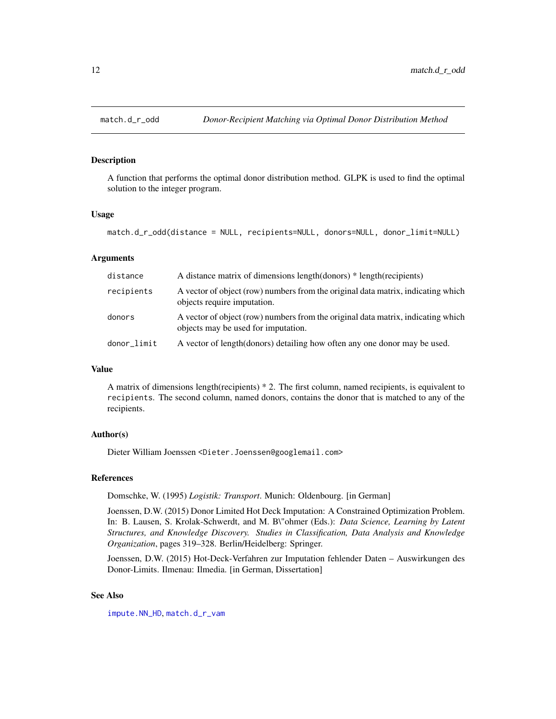<span id="page-11-0"></span>

#### Description

A function that performs the optimal donor distribution method. GLPK is used to find the optimal solution to the integer program.

#### Usage

```
match.d_r_odd(distance = NULL, recipients=NULL, donors=NULL, donor_limit=NULL)
```
#### Arguments

| distance    | A distance matrix of dimensions length(donors) * length(recipients)                                                     |
|-------------|-------------------------------------------------------------------------------------------------------------------------|
| recipients  | A vector of object (row) numbers from the original data matrix, indicating which<br>objects require imputation.         |
| donors      | A vector of object (row) numbers from the original data matrix, indicating which<br>objects may be used for imputation. |
| donor_limit | A vector of length (donors) detailing how often any one donor may be used.                                              |

# Value

A matrix of dimensions length(recipients) \* 2. The first column, named recipients, is equivalent to recipients. The second column, named donors, contains the donor that is matched to any of the recipients.

# Author(s)

Dieter William Joenssen <Dieter.Joenssen@googlemail.com>

# References

Domschke, W. (1995) *Logistik: Transport*. Munich: Oldenbourg. [in German]

Joenssen, D.W. (2015) Donor Limited Hot Deck Imputation: A Constrained Optimization Problem. In: B. Lausen, S. Krolak-Schwerdt, and M. B\"ohmer (Eds.): *Data Science, Learning by Latent Structures, and Knowledge Discovery. Studies in Classification, Data Analysis and Knowledge Organization*, pages 319–328. Berlin/Heidelberg: Springer.

Joenssen, D.W. (2015) Hot-Deck-Verfahren zur Imputation fehlender Daten – Auswirkungen des Donor-Limits. Ilmenau: Ilmedia. [in German, Dissertation]

# See Also

[impute.NN\\_HD](#page-5-1), [match.d\\_r\\_vam](#page-12-1)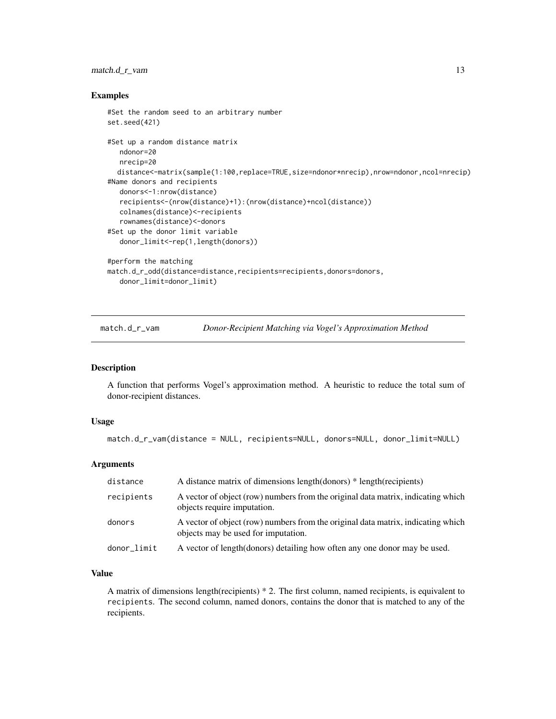# <span id="page-12-0"></span>match.d\_r\_vam 13

#### Examples

```
#Set the random seed to an arbitrary number
set.seed(421)
#Set up a random distance matrix
  ndonor=20
   nrecip=20
  distance<-matrix(sample(1:100,replace=TRUE,size=ndonor*nrecip),nrow=ndonor,ncol=nrecip)
#Name donors and recipients
   donors<-1:nrow(distance)
   recipients<-(nrow(distance)+1):(nrow(distance)+ncol(distance))
   colnames(distance)<-recipients
   rownames(distance)<-donors
#Set up the donor limit variable
   donor_limit<-rep(1,length(donors))
#perform the matching
match.d_r_odd(distance=distance,recipients=recipients,donors=donors,
   donor_limit=donor_limit)
```
<span id="page-12-1"></span>match.d\_r\_vam *Donor-Recipient Matching via Vogel's Approximation Method*

#### Description

A function that performs Vogel's approximation method. A heuristic to reduce the total sum of donor-recipient distances.

#### Usage

```
match.d_r_vam(distance = NULL, recipients=NULL, donors=NULL, donor_limit=NULL)
```
### Arguments

| distance    | A distance matrix of dimensions length(donors) * length(recipients)                                                     |
|-------------|-------------------------------------------------------------------------------------------------------------------------|
| recipients  | A vector of object (row) numbers from the original data matrix, indicating which<br>objects require imputation.         |
| donors      | A vector of object (row) numbers from the original data matrix, indicating which<br>objects may be used for imputation. |
| donor_limit | A vector of length (donors) detailing how often any one donor may be used.                                              |

# Value

A matrix of dimensions length(recipients) \* 2. The first column, named recipients, is equivalent to recipients. The second column, named donors, contains the donor that is matched to any of the recipients.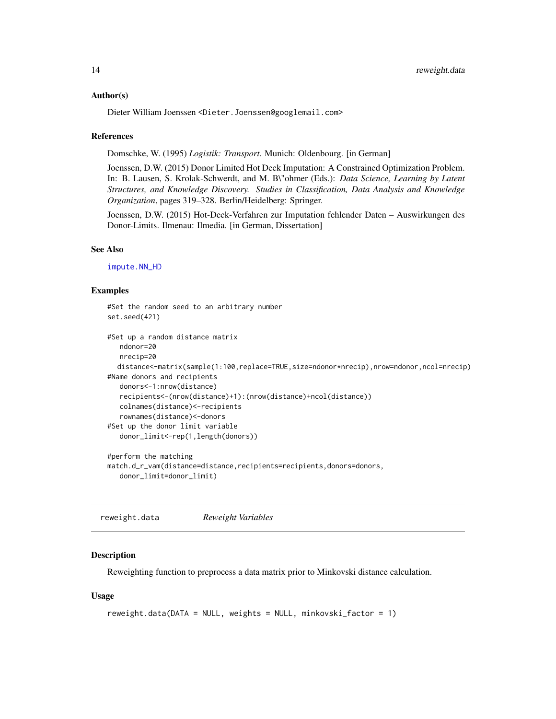#### <span id="page-13-0"></span>Author(s)

Dieter William Joenssen <Dieter.Joenssen@googlemail.com>

#### References

Domschke, W. (1995) *Logistik: Transport*. Munich: Oldenbourg. [in German]

Joenssen, D.W. (2015) Donor Limited Hot Deck Imputation: A Constrained Optimization Problem. In: B. Lausen, S. Krolak-Schwerdt, and M. B\"ohmer (Eds.): *Data Science, Learning by Latent Structures, and Knowledge Discovery. Studies in Classification, Data Analysis and Knowledge Organization*, pages 319–328. Berlin/Heidelberg: Springer.

Joenssen, D.W. (2015) Hot-Deck-Verfahren zur Imputation fehlender Daten – Auswirkungen des Donor-Limits. Ilmenau: Ilmedia. [in German, Dissertation]

#### See Also

[impute.NN\\_HD](#page-5-1)

#### Examples

```
#Set the random seed to an arbitrary number
set.seed(421)
#Set up a random distance matrix
  ndonor=20
  nrecip=20
  distance<-matrix(sample(1:100,replace=TRUE,size=ndonor*nrecip),nrow=ndonor,ncol=nrecip)
#Name donors and recipients
  donors<-1:nrow(distance)
  recipients<-(nrow(distance)+1):(nrow(distance)+ncol(distance))
  colnames(distance)<-recipients
  rownames(distance)<-donors
#Set up the donor limit variable
  donor_limit<-rep(1,length(donors))
#perform the matching
match.d_r_vam(distance=distance,recipients=recipients,donors=donors,
  donor_limit=donor_limit)
```
<span id="page-13-1"></span>reweight.data *Reweight Variables*

#### Description

Reweighting function to preprocess a data matrix prior to Minkovski distance calculation.

#### Usage

```
reweight.data(DATA = NULL, weights = NULL, minkovski_factor = 1)
```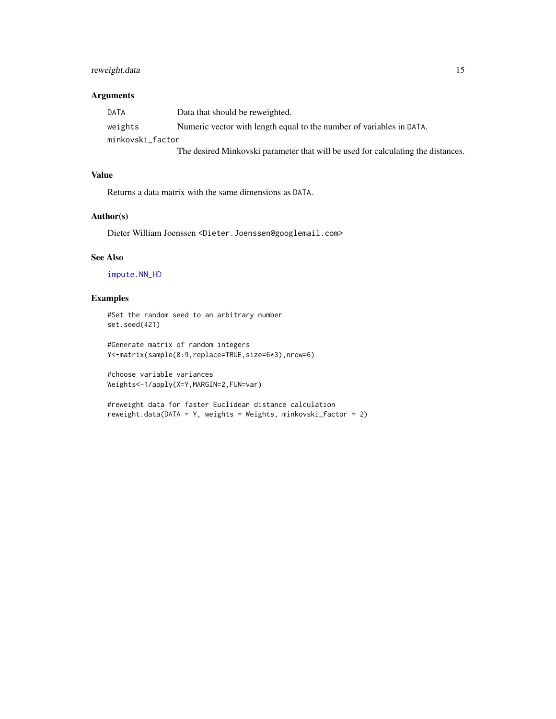# <span id="page-14-0"></span>reweight.data 15

# Arguments

| DATA             | Data that should be reweighted.                                                  |
|------------------|----------------------------------------------------------------------------------|
| weights          | Numeric vector with length equal to the number of variables in DATA.             |
| minkovski factor |                                                                                  |
|                  | The desired Minkovski parameter that will be used for calculating the distances. |

# Value

Returns a data matrix with the same dimensions as DATA.

## Author(s)

Dieter William Joenssen <Dieter.Joenssen@googlemail.com>

#### See Also

[impute.NN\\_HD](#page-5-1)

# Examples

#Set the random seed to an arbitrary number set.seed(421)

#Generate matrix of random integers Y<-matrix(sample(0:9,replace=TRUE,size=6\*3),nrow=6)

#choose variable variances Weights<-1/apply(X=Y,MARGIN=2,FUN=var)

#reweight data for faster Euclidean distance calculation reweight.data(DATA = Y, weights = Weights, minkovski\_factor = 2)